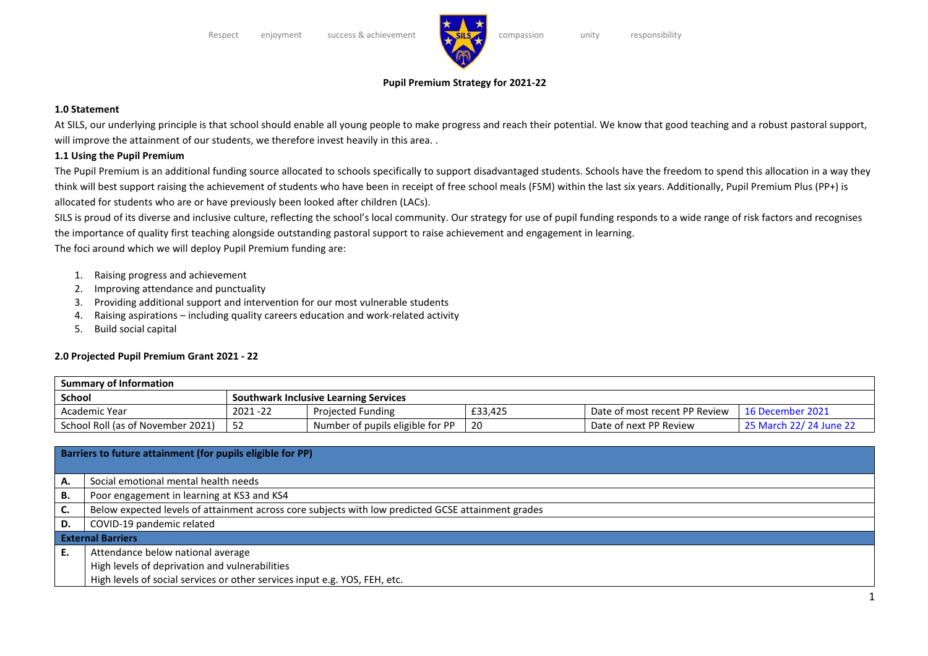

# **Pupil Premium Strategy for 2021-22**

#### **1.0 Statement**

At SILS, our underlying principle is that school should enable all young people to make progress and reach their potential. We know that good teaching and a robust pastoral support, will improve the attainment of our students, we therefore invest heavily in this area..

### **1.1 Using the Pupil Premium**

The Pupil Premium is an additional funding source allocated to schools specifically to support disadvantaged students. Schools have the freedom to spend this allocation in a way they think will best support raising the achievement of students who have been in receipt of free school meals (FSM) within the last six years. Additionally, Pupil Premium Plus (PP+) is allocated for students who are or have previously been looked after children (LACs).

SILS is proud of its diverse and inclusive culture, reflecting the school's local community. Our strategy for use of pupil funding responds to a wide range of risk factors and recognises the importance of quality first teaching alongside outstanding pastoral support to raise achievement and engagement in learning.

The foci around which we will deploy Pupil Premium funding are:

- 1. Raising progress and achievement
- 2. Improving attendance and punctuality
- 3. Providing additional support and intervention for our most vulnerable students
- 4. Raising aspirations including quality careers education and work-related activity
- 5. Build social capital

# **2.0 Projected Pupil Premium Grant 2021 - 22**

| <b>Summary of Information</b>     |                                       |                                  |         |                               |                         |  |  |  |
|-----------------------------------|---------------------------------------|----------------------------------|---------|-------------------------------|-------------------------|--|--|--|
| <b>School</b>                     | Southwark Inclusive Learning Services |                                  |         |                               |                         |  |  |  |
| Academic Year                     | $2021 - 22$                           | <b>Projected Funding</b>         | £33.425 | Date of most recent PP Review | 16 December 2021        |  |  |  |
| School Roll (as of November 2021) |                                       | Number of pupils eligible for PP | 20      | Date of next PP Review        | 25 March 22/ 24 June 22 |  |  |  |

| Barriers to future attainment (for pupils eligible for PP) |                                                                                                    |  |  |  |  |  |
|------------------------------------------------------------|----------------------------------------------------------------------------------------------------|--|--|--|--|--|
|                                                            |                                                                                                    |  |  |  |  |  |
| А.                                                         | Social emotional mental health needs                                                               |  |  |  |  |  |
| В.                                                         | Poor engagement in learning at KS3 and KS4                                                         |  |  |  |  |  |
| C.                                                         | Below expected levels of attainment across core subjects with low predicted GCSE attainment grades |  |  |  |  |  |
| D.                                                         | COVID-19 pandemic related                                                                          |  |  |  |  |  |
| <b>External Barriers</b>                                   |                                                                                                    |  |  |  |  |  |
| E.                                                         | Attendance below national average                                                                  |  |  |  |  |  |
|                                                            | High levels of deprivation and vulnerabilities                                                     |  |  |  |  |  |
|                                                            | High levels of social services or other services input e.g. YOS, FEH, etc.                         |  |  |  |  |  |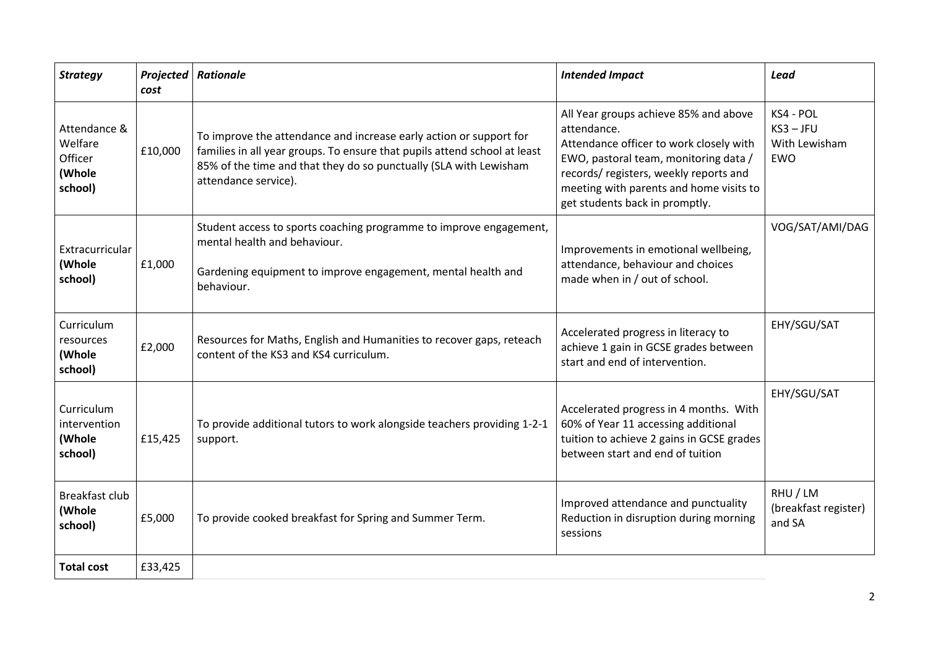| <b>Strategy</b>                                         | Projected<br>cost | <b>Rationale</b>                                                                                                                                                                                                                             | <b>Intended Impact</b>                                                                                                                                                                                                                                         | <b>Lead</b>                                             |
|---------------------------------------------------------|-------------------|----------------------------------------------------------------------------------------------------------------------------------------------------------------------------------------------------------------------------------------------|----------------------------------------------------------------------------------------------------------------------------------------------------------------------------------------------------------------------------------------------------------------|---------------------------------------------------------|
| Attendance &<br>Welfare<br>Officer<br>(Whole<br>school) | £10,000           | To improve the attendance and increase early action or support for<br>families in all year groups. To ensure that pupils attend school at least<br>85% of the time and that they do so punctually (SLA with Lewisham<br>attendance service). | All Year groups achieve 85% and above<br>attendance.<br>Attendance officer to work closely with<br>EWO, pastoral team, monitoring data /<br>records/registers, weekly reports and<br>meeting with parents and home visits to<br>get students back in promptly. | KS4 - POL<br>$KS3 - JFU$<br>With Lewisham<br><b>EWO</b> |
| Extracurricular<br>(Whole<br>school)                    | £1,000            | Student access to sports coaching programme to improve engagement,<br>mental health and behaviour.<br>Gardening equipment to improve engagement, mental health and<br>behaviour.                                                             | Improvements in emotional wellbeing,<br>attendance, behaviour and choices<br>made when in / out of school.                                                                                                                                                     | VOG/SAT/AMI/DAG                                         |
| Curriculum<br>resources<br>(Whole<br>school)            | £2,000            | Resources for Maths, English and Humanities to recover gaps, reteach<br>content of the KS3 and KS4 curriculum.                                                                                                                               | Accelerated progress in literacy to<br>achieve 1 gain in GCSE grades between<br>start and end of intervention.                                                                                                                                                 | EHY/SGU/SAT                                             |
| Curriculum<br>intervention<br>(Whole<br>school)         | £15,425           | To provide additional tutors to work alongside teachers providing 1-2-1<br>support.                                                                                                                                                          | Accelerated progress in 4 months. With<br>60% of Year 11 accessing additional<br>tuition to achieve 2 gains in GCSE grades<br>between start and end of tuition                                                                                                 | EHY/SGU/SAT                                             |
| <b>Breakfast club</b><br>(Whole<br>school)              | £5,000            | To provide cooked breakfast for Spring and Summer Term.                                                                                                                                                                                      | Improved attendance and punctuality<br>Reduction in disruption during morning<br>sessions                                                                                                                                                                      | RHU / LM<br>(breakfast register)<br>and SA              |
| <b>Total cost</b>                                       | £33,425           |                                                                                                                                                                                                                                              |                                                                                                                                                                                                                                                                |                                                         |